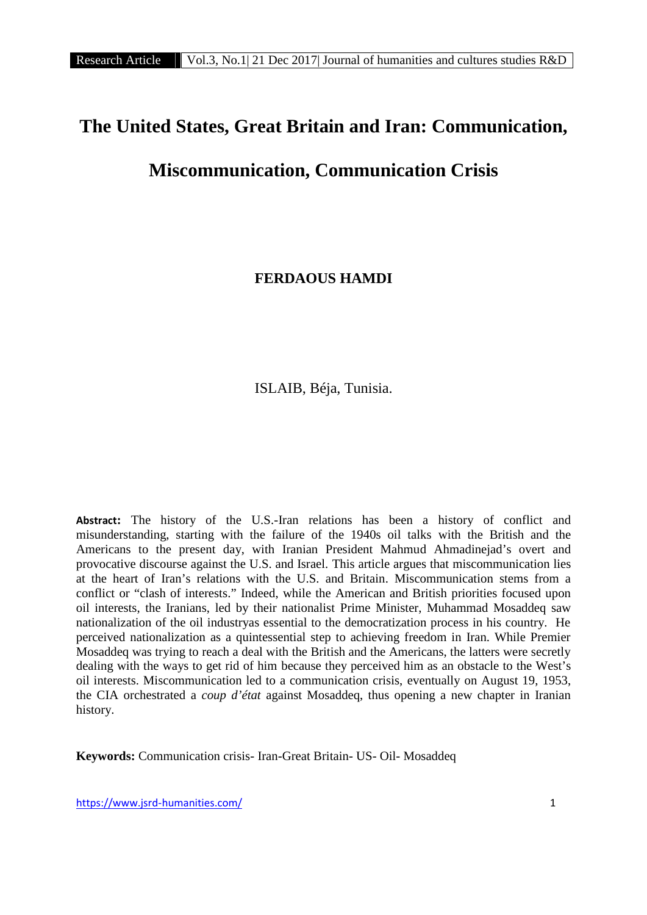# **The United States, Great Britain and Iran: Communication,**

# **Miscommunication, Communication Crisis**

**FERDAOUS HAMDI**

ISLAIB, Béja, Tunisia.

**Abstract:** The history of the U.S.-Iran relations has been a history of conflict and misunderstanding, starting with the failure of the 1940s oil talks with the British and the Americans to the present day, with Iranian President Mahmud Ahmadinejad's overt and provocative discourse against the U.S. and Israel. This article argues that miscommunication lies at the heart of Iran's relations with the U.S. and Britain. Miscommunication stems from a conflict or "clash of interests." Indeed, while the American and British priorities focused upon oil interests, the Iranians, led by their nationalist Prime Minister, Muhammad Mosaddeq saw nationalization of the oil industryas essential to the democratization process in his country. He perceived nationalization as a quintessential step to achieving freedom in Iran. While Premier Mosaddeq was trying to reach a deal with the British and the Americans, the latters were secretly dealing with the ways to get rid of him because they perceived him as an obstacle to the West's oil interests. Miscommunication led to a communication crisis, eventually on August 19, 1953, the CIA orchestrated a *coup d'état* against Mosaddeq, thus opening a new chapter in Iranian history.

**Keywords:** Communication crisis- Iran-Great Britain- US- Oil- Mosaddeq

https://www.jsrd-humanities.com/ 1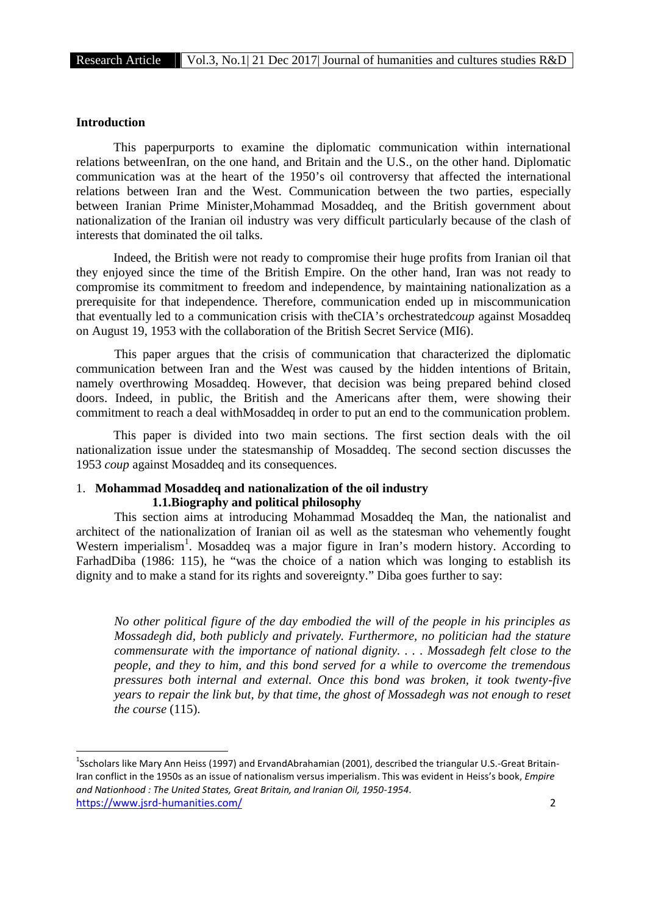# **Introduction**

This paperpurports to examine the diplomatic communication within international relations betweenIran, on the one hand, and Britain and the U.S., on the other hand. Diplomatic communication was at the heart of the 1950's oil controversy that affected the international relations between Iran and the West. Communication between the two parties, especially between Iranian Prime Minister,Mohammad Mosaddeq, and the British government about nationalization of the Iranian oil industry was very difficult particularly because of the clash of interests that dominated the oil talks.

Indeed, the British were not ready to compromise their huge profits from Iranian oil that they enjoyed since the time of the British Empire. On the other hand, Iran was not ready to compromise its commitment to freedom and independence, by maintaining nationalization as a prerequisite for that independence. Therefore, communication ended up in miscommunication that eventually led to a communication crisis with theCIA's orchestrated*coup* against Mosaddeq on August 19, 1953 with the collaboration of the British Secret Service (MI6).

This paper argues that the crisis of communication that characterized the diplomatic communication between Iran and the West was caused by the hidden intentions of Britain, namely overthrowing Mosaddeq. However, that decision was being prepared behind closed doors. Indeed, in public, the British and the Americans after them, were showing their commitment to reach a deal withMosaddeq in order to put an end to the communication problem.

This paper is divided into two main sections. The first section deals with the oil nationalization issue under the statesmanship of Mosaddeq. The second section discusses the 1953 *coup* against Mosaddeq and its consequences.

# 1. **Mohammad Mosaddeq and nationalization of the oil industry 1.1.Biography and political philosophy**

This section aims at introducing Mohammad Mosaddeq the Man, the nationalist and architect of the nationalization of Iranian oil as well as the statesman who vehemently fought Western imperialism<sup>1</sup>. Mosaddeq was a major figure in Iran's modern history. According to FarhadDiba (1986: 115), he "was the choice of a nation which was longing to establish its dignity and to make a stand for its rights and sovereignty." Diba goes further to say:

*No other political figure of the day embodied the will of the people in his principles as Mossadegh did, both publicly and privately. Furthermore, no politician had the stature commensurate with the importance of national dignity. . . . Mossadegh felt close to the people, and they to him, and this bond served for a while to overcome the tremendous pressures both internal and external. Once this bond was broken, it took twenty-five years to repair the link but, by that time, the ghost of Mossadegh was not enough to reset the course* (115).

https://www.jsrd-humanities.com/ 2 <sup>1</sup>Sscholars like Mary Ann Heiss (1997) and ErvandAbrahamian (2001), described the triangular U.S.-Great Britain-Iran conflict in the 1950s as an issue of nationalism versus imperialism. This was evident in Heiss's book, *Empire and Nationhood : The United States, Great Britain, and Iranian Oil, 1950-1954*.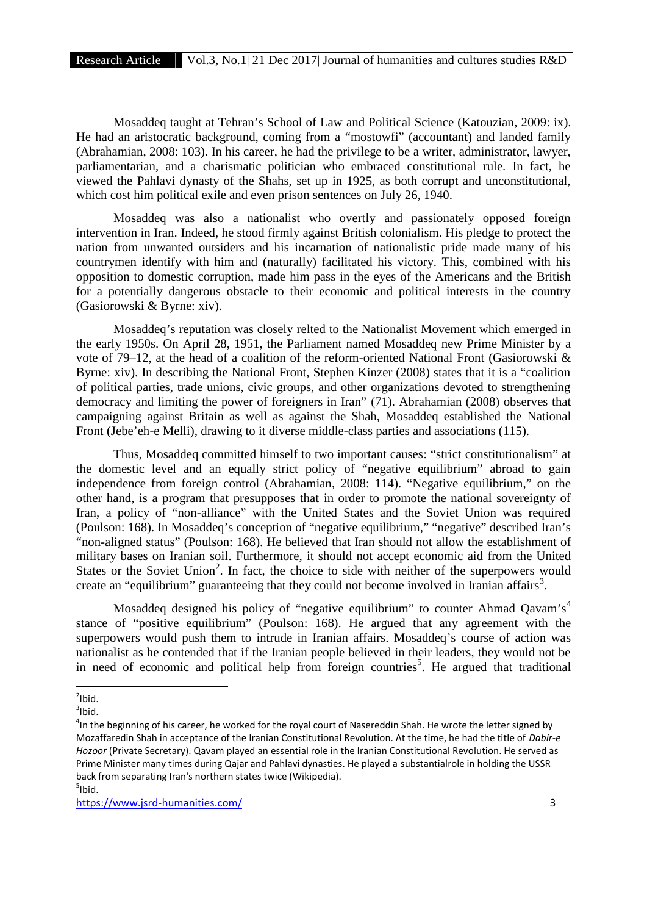Mosaddeq taught at Tehran's School of Law and Political Science (Katouzian, 2009: ix). He had an aristocratic background, coming from a "mostowfi" (accountant) and landed family (Abrahamian, 2008: 103). In his career, he had the privilege to be a writer, administrator, lawyer, parliamentarian, and a charismatic politician who embraced constitutional rule. In fact, he viewed the Pahlavi dynasty of the Shahs, set up in 1925, as both corrupt and unconstitutional, which cost him political exile and even prison sentences on July 26, 1940.

Mosaddeq was also a nationalist who overtly and passionately opposed foreign intervention in Iran. Indeed, he stood firmly against British colonialism. His pledge to protect the nation from unwanted outsiders and his incarnation of nationalistic pride made many of his countrymen identify with him and (naturally) facilitated his victory. This, combined with his opposition to domestic corruption, made him pass in the eyes of the Americans and the British for a potentially dangerous obstacle to their economic and political interests in the country (Gasiorowski & Byrne: xiv).

Mosaddeq's reputation was closely relted to the Nationalist Movement which emerged in the early 1950s. On April 28, 1951, the Parliament named Mosaddeq new Prime Minister by a vote of 79–12, at the head of a coalition of the reform-oriented National Front (Gasiorowski & Byrne: xiv). In describing the National Front, Stephen Kinzer (2008) states that it is a "coalition of political parties, trade unions, civic groups, and other organizations devoted to strengthening democracy and limiting the power of foreigners in Iran" (71). Abrahamian (2008) observes that campaigning against Britain as well as against the Shah, Mosaddeq established the National Front (Jebe'eh-e Melli), drawing to it diverse middle-class parties and associations (115).

Thus, Mosaddeq committed himself to two important causes: "strict constitutionalism" at the domestic level and an equally strict policy of "negative equilibrium" abroad to gain independence from foreign control (Abrahamian, 2008: 114). "Negative equilibrium," on the other hand, is a program that presupposes that in order to promote the national sovereignty of Iran, a policy of "non-alliance" with the United States and the Soviet Union was required (Poulson: 168). In Mosaddeq's conception of "negative equilibrium," "negative" described Iran's "non-aligned status" (Poulson: 168). He believed that Iran should not allow the establishment of military bases on Iranian soil. Furthermore, it should not accept economic aid from the United States or the Soviet Union<sup>2</sup>. In fact, the choice to side with neither of the superpowers would create an "equilibrium" guaranteeing that they could not become involved in Iranian affairs<sup>3</sup>.

Mosaddeq designed his policy of "negative equilibrium" to counter Ahmad Qavam's<sup>4</sup> stance of "positive equilibrium" (Poulson: 168). He argued that any agreement with the superpowers would push them to intrude in Iranian affairs. Mosaddeq's course of action was nationalist as he contended that if the Iranian people believed in their leaders, they would not be in need of economic and political help from foreign countries<sup>5</sup>. He argued that traditional

 $\frac{2}{3}$ lbid.

<sup>&</sup>lt;sup>3</sup>lbid.<br><sup>4</sup>In the beginning of his career, he worked for the royal court of Nasereddin Shah. He wrote the letter signed by Mozaffaredin Shah in acceptance of the Iranian Constitutional Revolution. At the time, he had the title of *Dabir-e Hozoor* (Private Secretary). Qavam played an essential role in the Iranian Constitutional Revolution. He served as Prime Minister many times during Qajar and Pahlavi dynasties. He played a substantialrole in holding the USSR back from separating Iran's northern states twice (Wikipedia). <sup>5</sup>  $<sup>5</sup>$ Ibid.</sup>

https://www.jsrd-humanities.com/ 3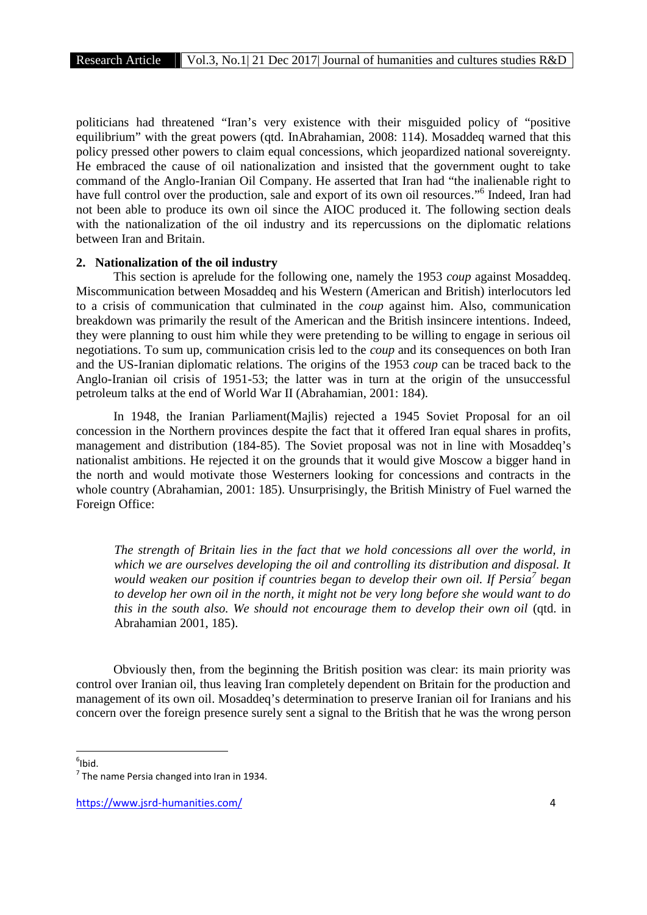politicians had threatened "Iran's very existence with their misguided policy of "positive equilibrium" with the great powers (qtd. InAbrahamian, 2008: 114). Mosaddeq warned that this policy pressed other powers to claim equal concessions, which jeopardized national sovereignty. He embraced the cause of oil nationalization and insisted that the government ought to take command of the Anglo-Iranian Oil Company. He asserted that Iran had "the inalienable right to have full control over the production, sale and export of its own oil resources."<sup>6</sup> Indeed, Iran had not been able to produce its own oil since the AIOC produced it. The following section deals with the nationalization of the oil industry and its repercussions on the diplomatic relations between Iran and Britain.

#### **2. Nationalization of the oil industry**

This section is aprelude for the following one, namely the 1953 *coup* against Mosaddeq. Miscommunication between Mosaddeq and his Western (American and British) interlocutors led to a crisis of communication that culminated in the *coup* against him. Also, communication breakdown was primarily the result of the American and the British insincere intentions. Indeed, they were planning to oust him while they were pretending to be willing to engage in serious oil negotiations. To sum up, communication crisis led to the *coup* and its consequences on both Iran and the US-Iranian diplomatic relations. The origins of the 1953 *coup* can be traced back to the Anglo-Iranian oil crisis of 1951-53; the latter was in turn at the origin of the unsuccessful petroleum talks at the end of World War II (Abrahamian, 2001: 184).

In 1948, the Iranian Parliament(Majlis) rejected a 1945 Soviet Proposal for an oil concession in the Northern provinces despite the fact that it offered Iran equal shares in profits, management and distribution (184-85). The Soviet proposal was not in line with Mosaddeq's nationalist ambitions. He rejected it on the grounds that it would give Moscow a bigger hand in the north and would motivate those Westerners looking for concessions and contracts in the whole country (Abrahamian, 2001: 185). Unsurprisingly, the British Ministry of Fuel warned the Foreign Office:

*The strength of Britain lies in the fact that we hold concessions all over the world, in which we are ourselves developing the oil and controlling its distribution and disposal. It would weaken our position if countries began to develop their own oil. If Persia<sup>7</sup> began to develop her own oil in the north, it might not be very long before she would want to do this in the south also. We should not encourage them to develop their own oil* (qtd. in Abrahamian 2001, 185).

Obviously then, from the beginning the British position was clear: its main priority was control over Iranian oil, thus leaving Iran completely dependent on Britain for the production and management of its own oil. Mosaddeq's determination to preserve Iranian oil for Iranians and his concern over the foreign presence surely sent a signal to the British that he was the wrong person

 $6$ Ibid.

 $<sup>7</sup>$  The name Persia changed into Iran in 1934.</sup>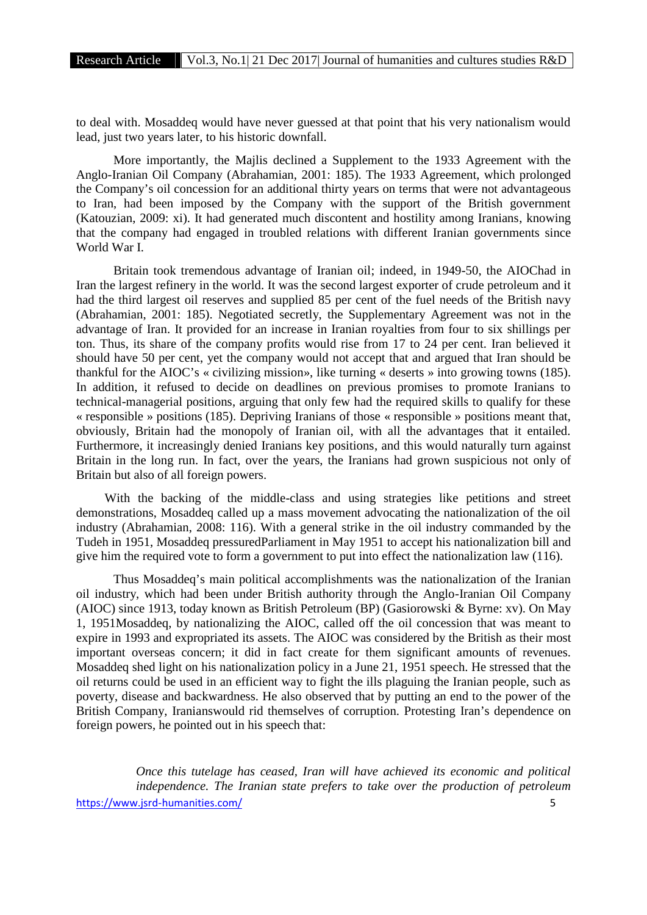to deal with. Mosaddeq would have never guessed at that point that his very nationalism would lead, just two years later, to his historic downfall.

More importantly, the Majlis declined a Supplement to the 1933 Agreement with the Anglo-Iranian Oil Company (Abrahamian, 2001: 185). The 1933 Agreement, which prolonged the Company's oil concession for an additional thirty years on terms that were not advantageous to Iran, had been imposed by the Company with the support of the British government (Katouzian, 2009: xi). It had generated much discontent and hostility among Iranians, knowing that the company had engaged in troubled relations with different Iranian governments since World War I.

Britain took tremendous advantage of Iranian oil; indeed, in 1949-50, the AIOChad in Iran the largest refinery in the world. It was the second largest exporter of crude petroleum and it had the third largest oil reserves and supplied 85 per cent of the fuel needs of the British navy (Abrahamian, 2001: 185). Negotiated secretly, the Supplementary Agreement was not in the advantage of Iran. It provided for an increase in Iranian royalties from four to six shillings per ton. Thus, its share of the company profits would rise from 17 to 24 per cent. Iran believed it should have 50 per cent, yet the company would not accept that and argued that Iran should be thankful for the AIOC's « civilizing mission», like turning « deserts » into growing towns (185). In addition, it refused to decide on deadlines on previous promises to promote Iranians to technical-managerial positions, arguing that only few had the required skills to qualify for these « responsible » positions (185). Depriving Iranians of those « responsible » positions meant that, obviously, Britain had the monopoly of Iranian oil, with all the advantages that it entailed. Furthermore, it increasingly denied Iranians key positions, and this would naturally turn against Britain in the long run. In fact, over the years, the Iranians had grown suspicious not only of Britain but also of all foreign powers.

With the backing of the middle-class and using strategies like petitions and street demonstrations, Mosaddeq called up a mass movement advocating the nationalization of the oil industry (Abrahamian, 2008: 116). With a general strike in the oil industry commanded by the Tudeh in 1951, Mosaddeq pressuredParliament in May 1951 to accept his nationalization bill and give him the required vote to form a government to put into effect the nationalization law (116).

Thus Mosaddeq's main political accomplishments was the nationalization of the Iranian oil industry, which had been under British authority through the Anglo-Iranian Oil Company (AIOC) since 1913, today known as British Petroleum (BP) (Gasiorowski & Byrne: xv). On May 1, 1951Mosaddeq, by nationalizing the AIOC, called off the oil concession that was meant to expire in 1993 and expropriated its assets. The AIOC was considered by the British as their most important overseas concern; it did in fact create for them significant amounts of revenues. Mosaddeq shed light on his nationalization policy in a June 21, 1951 speech. He stressed that the oil returns could be used in an efficient way to fight the ills plaguing the Iranian people, such as poverty, disease and backwardness. He also observed that by putting an end to the power of the British Company, Iranianswould rid themselves of corruption. Protesting Iran's dependence on foreign powers, he pointed out in his speech that:

https://www.jsrd-humanities.com/ 5 *Once this tutelage has ceased, Iran will have achieved its economic and political independence. The Iranian state prefers to take over the production of petroleum*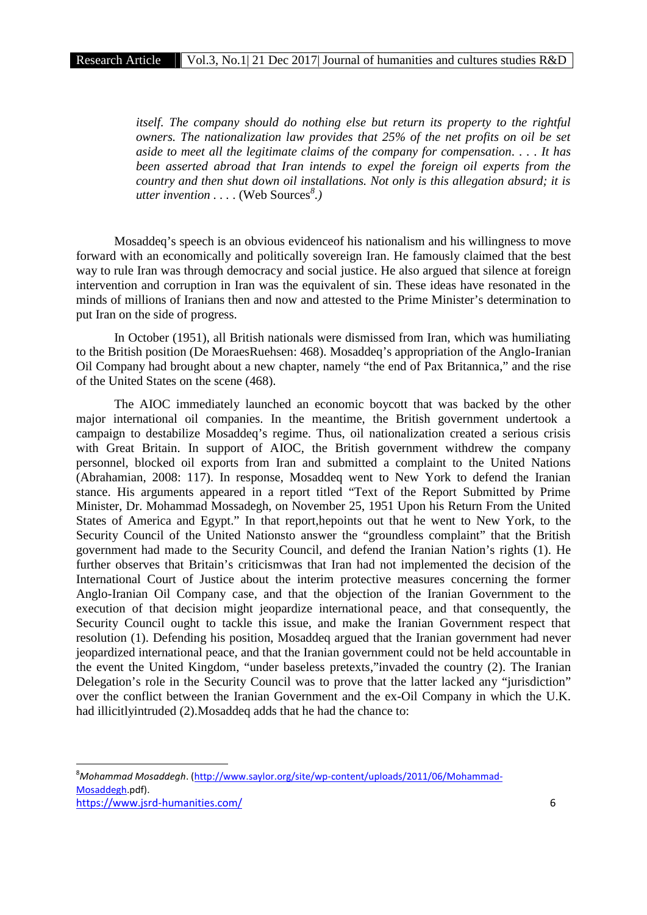*itself. The company should do nothing else but return its property to the rightful owners. The nationalization law provides that 25% of the net profits on oil be set aside to meet all the legitimate claims of the company for compensation. . . . It has been asserted abroad that Iran intends to expel the foreign oil experts from the country and then shut down oil installations. Not only is this allegation absurd; it is utter invention . . .* . (Web Sources*<sup>8</sup> .)*

Mosaddeq's speech is an obvious evidenceof his nationalism and his willingness to move forward with an economically and politically sovereign Iran. He famously claimed that the best way to rule Iran was through democracy and social justice. He also argued that silence at foreign intervention and corruption in Iran was the equivalent of sin. These ideas have resonated in the minds of millions of Iranians then and now and attested to the Prime Minister's determination to put Iran on the side of progress.

In October (1951), all British nationals were dismissed from Iran, which was humiliating to the British position (De MoraesRuehsen: 468). Mosaddeq's appropriation of the Anglo-Iranian Oil Company had brought about a new chapter, namely "the end of Pax Britannica," and the rise of the United States on the scene (468).

The AIOC immediately launched an economic boycott that was backed by the other major international oil companies. In the meantime, the British government undertook a campaign to destabilize Mosaddeq's regime. Thus, oil nationalization created a serious crisis with Great Britain. In support of AIOC, the British government withdrew the company personnel, blocked oil exports from Iran and submitted a complaint to the United Nations (Abrahamian, 2008: 117). In response, Mosaddeq went to New York to defend the Iranian stance. His arguments appeared in a report titled "Text of the Report Submitted by Prime Minister, Dr. Mohammad Mossadegh, on November 25, 1951 Upon his Return From the United States of America and Egypt." In that report,hepoints out that he went to New York, to the Security Council of the United Nationsto answer the "groundless complaint" that the British government had made to the Security Council, and defend the Iranian Nation's rights (1). He further observes that Britain's criticismwas that Iran had not implemented the decision of the International Court of Justice about the interim protective measures concerning the former Anglo-Iranian Oil Company case, and that the objection of the Iranian Government to the execution of that decision might jeopardize international peace, and that consequently, the Security Council ought to tackle this issue, and make the Iranian Government respect that resolution (1). Defending his position, Mosaddeq argued that the Iranian government had never jeopardized international peace, and that the Iranian government could not be held accountable in the event the United Kingdom, "under baseless pretexts,"invaded the country (2). The Iranian Delegation's role in the Security Council was to prove that the latter lacked any "jurisdiction" over the conflict between the Iranian Government and the ex-Oil Company in which the U.K. had illicitlyintruded (2).Mosaddeq adds that he had the chance to:

https://www.jsrd-humanities.com/ 6 <sup>8</sup>*Mohammad Mosaddegh*. (http://www.saylor.org/site/wp-content/uploads/2011/06/Mohammad- Mosaddegh.pdf).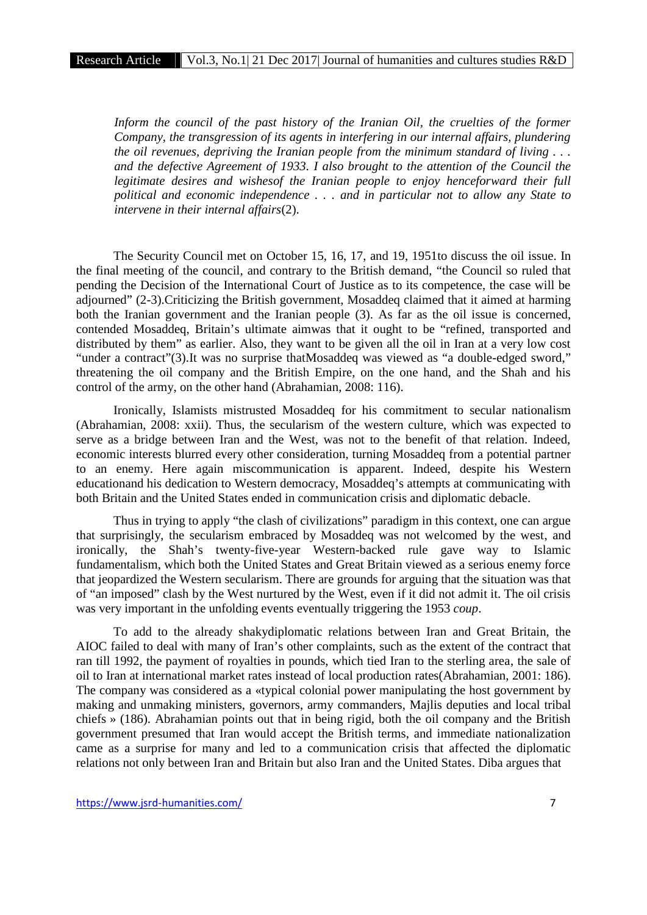*Inform the council of the past history of the Iranian Oil, the cruelties of the former Company, the transgression of its agents in interfering in our internal affairs, plundering the oil revenues, depriving the Iranian people from the minimum standard of living . . . and the defective Agreement of 1933. I also brought to the attention of the Council the legitimate desires and wishesof the Iranian people to enjoy henceforward their full political and economic independence . . . and in particular not to allow any State to intervene in their internal affairs*(2).

The Security Council met on October 15, 16, 17, and 19, 1951to discuss the oil issue. In the final meeting of the council, and contrary to the British demand, "the Council so ruled that pending the Decision of the International Court of Justice as to its competence, the case will be adjourned" (2-3).Criticizing the British government, Mosaddeq claimed that it aimed at harming both the Iranian government and the Iranian people (3). As far as the oil issue is concerned, contended Mosaddeq, Britain's ultimate aimwas that it ought to be "refined, transported and distributed by them" as earlier. Also, they want to be given all the oil in Iran at a very low cost "under a contract"(3). It was no surprise thatMosaddeq was viewed as "a double-edged sword," threatening the oil company and the British Empire, on the one hand, and the Shah and his control of the army, on the other hand (Abrahamian, 2008: 116).

Ironically, Islamists mistrusted Mosaddeq for his commitment to secular nationalism (Abrahamian, 2008: xxii). Thus, the secularism of the western culture, which was expected to serve as a bridge between Iran and the West, was not to the benefit of that relation. Indeed, economic interests blurred every other consideration, turning Mosaddeq from a potential partner to an enemy. Here again miscommunication is apparent. Indeed, despite his Western educationand his dedication to Western democracy, Mosaddeq's attempts at communicating with both Britain and the United States ended in communication crisis and diplomatic debacle.

Thus in trying to apply "the clash of civilizations" paradigm in this context, one can argue that surprisingly, the secularism embraced by Mosaddeq was not welcomed by the west, and ironically, the Shah's twenty-five-year Western-backed rule gave way to Islamic fundamentalism, which both the United States and Great Britain viewed as a serious enemy force that jeopardized the Western secularism. There are grounds for arguing that the situation was that of "an imposed" clash by the West nurtured by the West, even if it did not admit it. The oil crisis was very important in the unfolding events eventually triggering the 1953 *coup*.

To add to the already shakydiplomatic relations between Iran and Great Britain, the AIOC failed to deal with many of Iran's other complaints, such as the extent of the contract that ran till 1992, the payment of royalties in pounds, which tied Iran to the sterling area, the sale of oil to Iran at international market rates instead of local production rates(Abrahamian, 2001: 186). The company was considered as a «typical colonial power manipulating the host government by making and unmaking ministers, governors, army commanders, Majlis deputies and local tribal chiefs » (186). Abrahamian points out that in being rigid, both the oil company and the British government presumed that Iran would accept the British terms, and immediate nationalization came as a surprise for many and led to a communication crisis that affected the diplomatic relations not only between Iran and Britain but also Iran and the United States. Diba argues that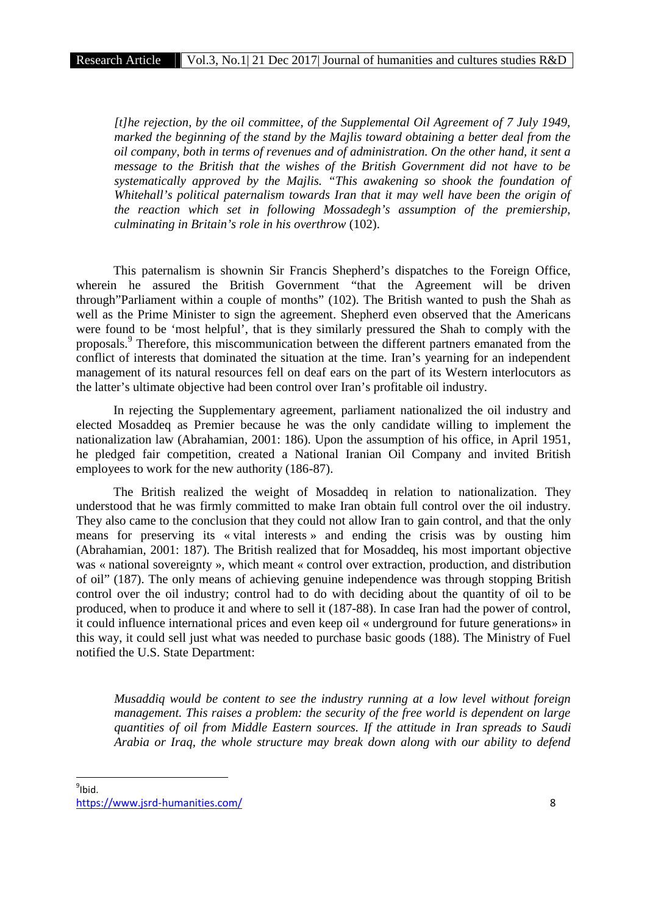*[t]he rejection, by the oil committee, of the Supplemental Oil Agreement of 7 July 1949, marked the beginning of the stand by the Majlis toward obtaining a better deal from the oil company, both in terms of revenues and of administration. On the other hand, it sent a message to the British that the wishes of the British Government did not have to be systematically approved by the Majlis. "This awakening so shook the foundation of Whitehall's political paternalism towards Iran that it may well have been the origin of the reaction which set in following Mossadegh's assumption of the premiership, culminating in Britain's role in his overthrow* (102).

This paternalism is shownin Sir Francis Shepherd's dispatches to the Foreign Office, wherein he assured the British Government "that the Agreement will be driven through"Parliament within a couple of months" (102). The British wanted to push the Shah as well as the Prime Minister to sign the agreement. Shepherd even observed that the Americans were found to be 'most helpful', that is they similarly pressured the Shah to comply with the proposals.<sup>9</sup> Therefore, this miscommunication between the different partners emanated from the conflict of interests that dominated the situation at the time. Iran's yearning for an independent management of its natural resources fell on deaf ears on the part of its Western interlocutors as the latter's ultimate objective had been control over Iran's profitable oil industry.

In rejecting the Supplementary agreement, parliament nationalized the oil industry and elected Mosaddeq as Premier because he was the only candidate willing to implement the nationalization law (Abrahamian, 2001: 186). Upon the assumption of his office, in April 1951, he pledged fair competition, created a National Iranian Oil Company and invited British employees to work for the new authority (186-87).

The British realized the weight of Mosaddeq in relation to nationalization. They understood that he was firmly committed to make Iran obtain full control over the oil industry. They also came to the conclusion that they could not allow Iran to gain control, and that the only means for preserving its « vital interests » and ending the crisis was by ousting him (Abrahamian, 2001: 187). The British realized that for Mosaddeq, his most important objective was « national sovereignty », which meant « control over extraction, production, and distribution of oil" (187). The only means of achieving genuine independence was through stopping British control over the oil industry; control had to do with deciding about the quantity of oil to be produced, when to produce it and where to sell it (187-88). In case Iran had the power of control, it could influence international prices and even keep oil « underground for future generations» in this way, it could sell just what was needed to purchase basic goods (188). The Ministry of Fuel notified the U.S. State Department:

*Musaddiq would be content to see the industry running at a low level without foreign management. This raises a problem: the security of the free world is dependent on large quantities of oil from Middle Eastern sources. If the attitude in Iran spreads to Saudi Arabia or Iraq, the whole structure may break down along with our ability to defend*

https://www.jsrd-humanities.com/ 8  $^9$ Ibid.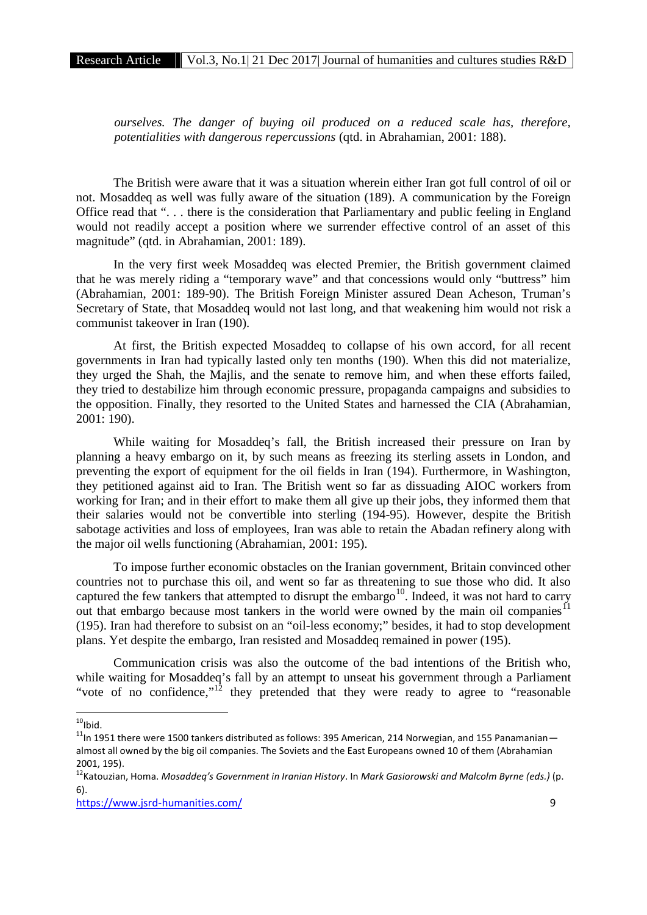*ourselves. The danger of buying oil produced on a reduced scale has, therefore, potentialities with dangerous repercussions* (qtd. in Abrahamian, 2001: 188).

The British were aware that it was a situation wherein either Iran got full control of oil or not. Mosaddeq as well was fully aware of the situation (189). A communication by the Foreign Office read that ". . . there is the consideration that Parliamentary and public feeling in England would not readily accept a position where we surrender effective control of an asset of this magnitude" (qtd. in Abrahamian, 2001: 189).

In the very first week Mosaddeq was elected Premier, the British government claimed that he was merely riding a "temporary wave" and that concessions would only "buttress" him (Abrahamian, 2001: 189-90). The British Foreign Minister assured Dean Acheson, Truman's Secretary of State, that Mosaddeq would not last long, and that weakening him would not risk a communist takeover in Iran (190).

At first, the British expected Mosaddeq to collapse of his own accord, for all recent governments in Iran had typically lasted only ten months (190). When this did not materialize, they urged the Shah, the Majlis, and the senate to remove him, and when these efforts failed, they tried to destabilize him through economic pressure, propaganda campaigns and subsidies to the opposition. Finally, they resorted to the United States and harnessed the CIA (Abrahamian, 2001: 190).

While waiting for Mosaddeq's fall, the British increased their pressure on Iran by planning a heavy embargo on it, by such means as freezing its sterling assets in London, and preventing the export of equipment for the oil fields in Iran (194). Furthermore, in Washington, they petitioned against aid to Iran. The British went so far as dissuading AIOC workers from working for Iran; and in their effort to make them all give up their jobs, they informed them that their salaries would not be convertible into sterling (194-95). However, despite the British sabotage activities and loss of employees, Iran was able to retain the Abadan refinery along with the major oil wells functioning (Abrahamian, 2001: 195).

To impose further economic obstacles on the Iranian government, Britain convinced other countries not to purchase this oil, and went so far as threatening to sue those who did. It also captured the few tankers that attempted to disrupt the embargo<sup>10</sup>. Indeed, it was not hard to carry out that embargo because most tankers in the world were owned by the main oil companies<sup>11</sup> (195). Iran had therefore to subsist on an "oil-less economy;" besides, it had to stop development plans. Yet despite the embargo, Iran resisted and Mosaddeq remained in power (195).

Communication crisis was also the outcome of the bad intentions of the British who, while waiting for Mosaddeq's fall by an attempt to unseat his government through a Parliament "vote of no confidence,"<sup>12</sup> they pretended that they were ready to agree to "reasonable"

<sup>&</sup>lt;sup>10</sup>lbid.<br><sup>11</sup>In 1951 there were 1500 tankers distributed as follows: 395 American, 214 Norwegian, and 155 Panamanian almost all owned by the big oil companies. The Soviets and the East Europeans owned 10 of them (Abrahamian 2001, 195). <sup>12</sup>Katouzian, Homa. *Mosaddeq's Government in Iranian History*. In *Mark Gasiorowski and Malcolm Byrne (eds.)* (p.

<sup>6).</sup>

https://www.jsrd-humanities.com/ 9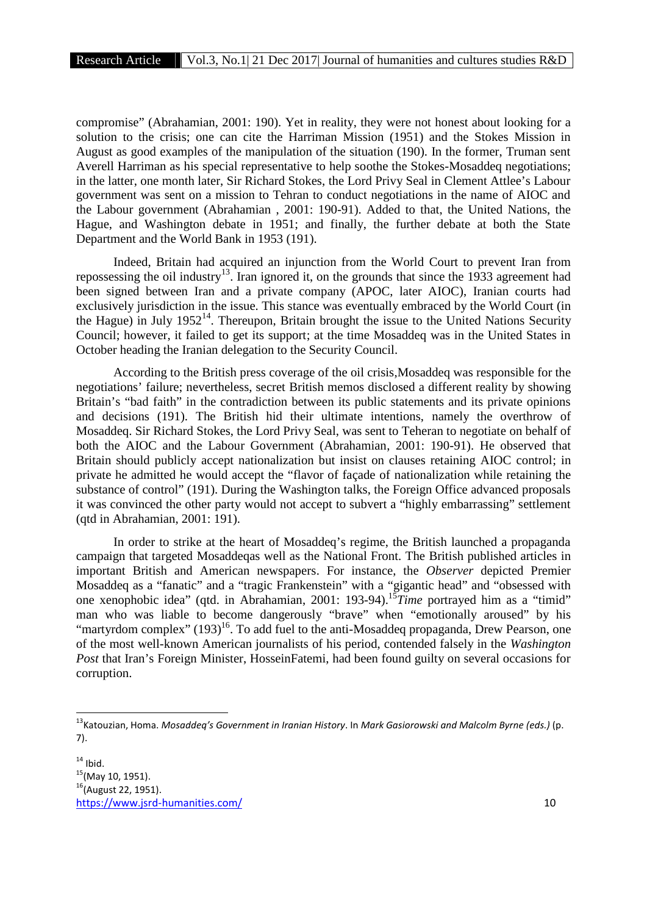compromise" (Abrahamian, 2001: 190). Yet in reality, they were not honest about looking for a solution to the crisis; one can cite the Harriman Mission (1951) and the Stokes Mission in August as good examples of the manipulation of the situation (190). In the former, Truman sent Averell Harriman as his special representative to help soothe the Stokes-Mosaddeq negotiations; in the latter, one month later, Sir Richard Stokes, the Lord Privy Seal in Clement Attlee's Labour government was sent on a mission to Tehran to conduct negotiations in the name of AIOC and the Labour government (Abrahamian , 2001: 190-91). Added to that, the United Nations, the Hague, and Washington debate in 1951; and finally, the further debate at both the State Department and the World Bank in 1953 (191).

Indeed, Britain had acquired an injunction from the World Court to prevent Iran from repossessing the oil industry<sup>13</sup>. Iran ignored it, on the grounds that since the 1933 agreement had been signed between Iran and a private company (APOC, later AIOC), Iranian courts had exclusively jurisdiction in the issue. This stance was eventually embraced by the World Court (in the Hague) in July 1952<sup>14</sup>. Thereupon, Britain brought the issue to the United Nations Security Council; however, it failed to get its support; at the time Mosaddeq was in the United States in October heading the Iranian delegation to the Security Council.

According to the British press coverage of the oil crisis,Mosaddeq was responsible for the negotiations' failure; nevertheless, secret British memos disclosed a different reality by showing Britain's "bad faith" in the contradiction between its public statements and its private opinions and decisions (191). The British hid their ultimate intentions, namely the overthrow of Mosaddeq. Sir Richard Stokes, the Lord Privy Seal, was sent to Teheran to negotiate on behalf of both the AIOC and the Labour Government (Abrahamian, 2001: 190-91). He observed that Britain should publicly accept nationalization but insist on clauses retaining AIOC control; in private he admitted he would accept the "flavor of façade of nationalization while retaining the substance of control" (191). During the Washington talks, the Foreign Office advanced proposals it was convinced the other party would not accept to subvert a "highly embarrassing" settlement (qtd in Abrahamian, 2001: 191).

In order to strike at the heart of Mosaddeq's regime, the British launched a propaganda campaign that targeted Mosaddeqas well as the National Front. The British published articles in important British and American newspapers. For instance, the *Observer* depicted Premier Mosaddeq as a "fanatic" and a "tragic Frankenstein" with a "gigantic head" and "obsessed with one xenophobic idea" (qtd. in Abrahamian, 2001: 193-94).<sup>15</sup>*Time* portrayed him as a "timid" man who was liable to become dangerously "brave" when "emotionally aroused" by his "martyrdom complex" (193)<sup>16</sup>. To add fuel to the anti-Mosaddeq propaganda, Drew Pearson, one of the most well-known American journalists of his period, contended falsely in the *Washington Post* that Iran's Foreign Minister, HosseinFatemi, had been found guilty on several occasions for corruption.

<sup>13</sup>Katouzian, Homa. *Mosaddeq's Government in Iranian History*. In *Mark Gasiorowski and Malcolm Byrne (eds.)* (p. 7).

https://www.jsrd-humanities.com/ 10 <sup>14</sup> Ibid.<br><sup>15</sup>(May 10, 1951).<br><sup>16</sup>(August 22, 1951).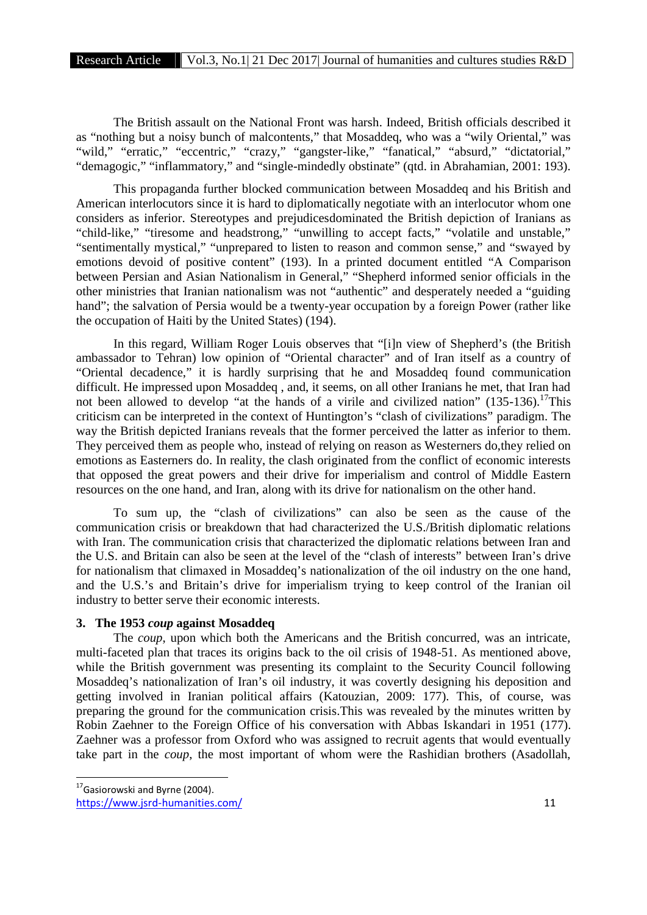The British assault on the National Front was harsh. Indeed, British officials described it as "nothing but a noisy bunch of malcontents," that Mosaddeq, who was a "wily Oriental," was "wild," "erratic," "eccentric," "crazy," "gangster-like," "fanatical," "absurd," "dictatorial," "demagogic," "inflammatory," and "single-mindedly obstinate" (qtd. in Abrahamian, 2001: 193).

This propaganda further blocked communication between Mosaddeq and his British and American interlocutors since it is hard to diplomatically negotiate with an interlocutor whom one considers as inferior. Stereotypes and prejudicesdominated the British depiction of Iranians as "child-like," "tiresome and headstrong," "unwilling to accept facts," "volatile and unstable," "sentimentally mystical," "unprepared to listen to reason and common sense," and "swayed by emotions devoid of positive content" (193). In a printed document entitled "A Comparison between Persian and Asian Nationalism in General," "Shepherd informed senior officials in the other ministries that Iranian nationalism was not "authentic" and desperately needed a "guiding hand"; the salvation of Persia would be a twenty-year occupation by a foreign Power (rather like the occupation of Haiti by the United States) (194).

In this regard, William Roger Louis observes that "[i]n view of Shepherd's (the British ambassador to Tehran) low opinion of "Oriental character" and of Iran itself as a country of "Oriental decadence," it is hardly surprising that he and Mosaddeq found communication difficult. He impressed upon Mosaddeq , and, it seems, on all other Iranians he met, that Iran had not been allowed to develop "at the hands of a virile and civilized nation"  $(135-136)$ .<sup>17</sup>This criticism can be interpreted in the context of Huntington's "clash of civilizations" paradigm. The way the British depicted Iranians reveals that the former perceived the latter as inferior to them. They perceived them as people who, instead of relying on reason as Westerners do,they relied on emotions as Easterners do. In reality, the clash originated from the conflict of economic interests that opposed the great powers and their drive for imperialism and control of Middle Eastern resources on the one hand, and Iran, along with its drive for nationalism on the other hand.

To sum up, the "clash of civilizations" can also be seen as the cause of the communication crisis or breakdown that had characterized the U.S./British diplomatic relations with Iran. The communication crisis that characterized the diplomatic relations between Iran and the U.S. and Britain can also be seen at the level of the "clash of interests" between Iran's drive for nationalism that climaxed in Mosaddeq's nationalization of the oil industry on the one hand, and the U.S.'s and Britain's drive for imperialism trying to keep control of the Iranian oil industry to better serve their economic interests.

## **3. The 1953** *coup* **against Mosaddeq**

The *coup*, upon which both the Americans and the British concurred, was an intricate, multi-faceted plan that traces its origins back to the oil crisis of 1948-51. As mentioned above, while the British government was presenting its complaint to the Security Council following Mosaddeq's nationalization of Iran's oil industry, it was covertly designing his deposition and getting involved in Iranian political affairs (Katouzian, 2009: 177). This, of course, was preparing the ground for the communication crisis.This was revealed by the minutes written by Robin Zaehner to the Foreign Office of his conversation with Abbas Iskandari in 1951 (177). Zaehner was a professor from Oxford who was assigned to recruit agents that would eventually take part in the *coup*, the most important of whom were the Rashidian brothers (Asadollah,

 $17$ Gasiorowski and Byrne (2004).

https://www.jsrd-humanities.com/ 11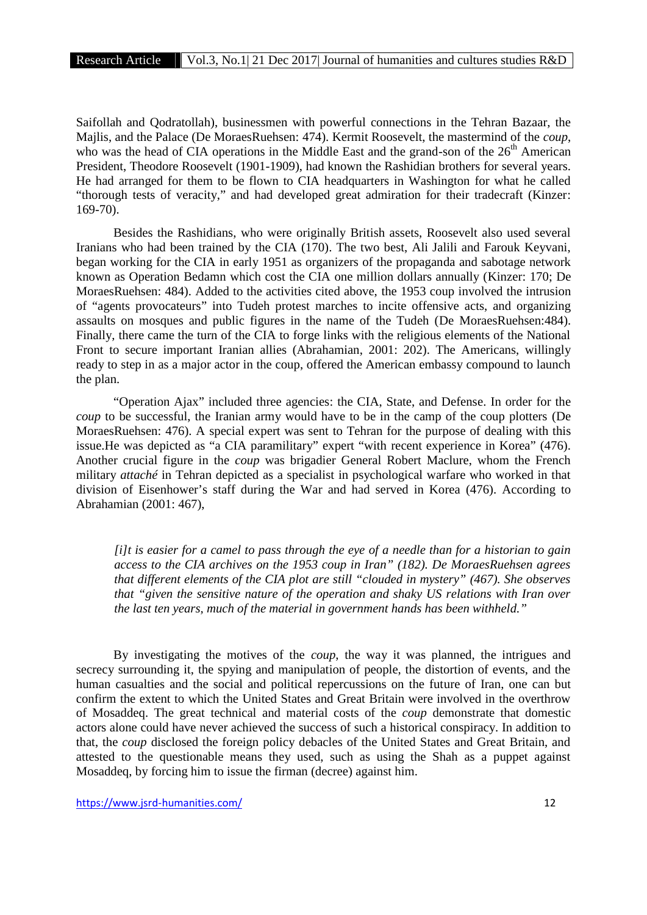Saifollah and Qodratollah), businessmen with powerful connections in the Tehran Bazaar, the Majlis, and the Palace (De MoraesRuehsen: 474). Kermit Roosevelt, the mastermind of the *coup*, who was the head of CIA operations in the Middle East and the grand-son of the  $26<sup>th</sup>$  American President, Theodore Roosevelt (1901-1909), had known the Rashidian brothers for several years. He had arranged for them to be flown to CIA headquarters in Washington for what he called "thorough tests of veracity," and had developed great admiration for their tradecraft (Kinzer: 169-70).

Besides the Rashidians, who were originally British assets, Roosevelt also used several Iranians who had been trained by the CIA (170). The two best, Ali Jalili and Farouk Keyvani, began working for the CIA in early 1951 as organizers of the propaganda and sabotage network known as Operation Bedamn which cost the CIA one million dollars annually (Kinzer: 170; De MoraesRuehsen: 484). Added to the activities cited above, the 1953 coup involved the intrusion of "agents provocateurs" into Tudeh protest marches to incite offensive acts, and organizing assaults on mosques and public figures in the name of the Tudeh (De MoraesRuehsen:484). Finally, there came the turn of the CIA to forge links with the religious elements of the National Front to secure important Iranian allies (Abrahamian, 2001: 202). The Americans, willingly ready to step in as a major actor in the coup, offered the American embassy compound to launch the plan.

"Operation Ajax" included three agencies: the CIA, State, and Defense. In order for the *coup* to be successful, the Iranian army would have to be in the camp of the coup plotters (De MoraesRuehsen: 476). A special expert was sent to Tehran for the purpose of dealing with this issue.He was depicted as "a CIA paramilitary" expert "with recent experience in Korea" (476). Another crucial figure in the *coup* was brigadier General Robert Maclure, whom the French military *attaché* in Tehran depicted as a specialist in psychological warfare who worked in that division of Eisenhower's staff during the War and had served in Korea (476). According to Abrahamian (2001: 467),

*[i]t is easier for a camel to pass through the eye of a needle than for a historian to gain access to the CIA archives on the 1953 coup in Iran" (182). De MoraesRuehsen agrees that different elements of the CIA plot are still "clouded in mystery" (467). She observes that "given the sensitive nature of the operation and shaky US relations with Iran over the last ten years, much of the material in government hands has been withheld."*

By investigating the motives of the *coup*, the way it was planned, the intrigues and secrecy surrounding it, the spying and manipulation of people, the distortion of events, and the human casualties and the social and political repercussions on the future of Iran, one can but confirm the extent to which the United States and Great Britain were involved in the overthrow of Mosaddeq. The great technical and material costs of the *coup* demonstrate that domestic actors alone could have never achieved the success of such a historical conspiracy. In addition to that, the *coup* disclosed the foreign policy debacles of the United States and Great Britain, and attested to the questionable means they used, such as using the Shah as a puppet against Mosaddeq, by forcing him to issue the firman (decree) against him.

https://www.jsrd-humanities.com/ 12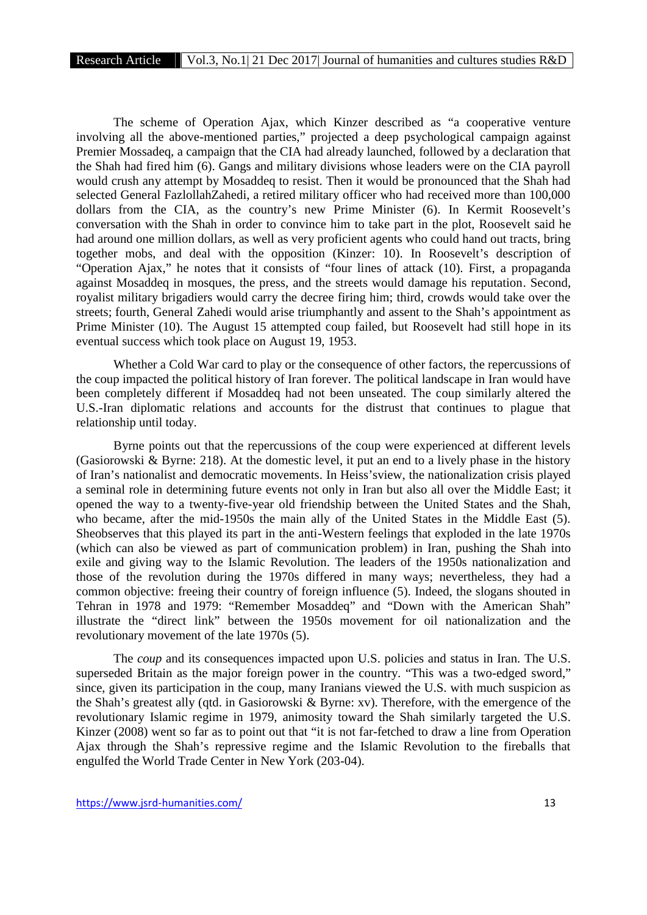The scheme of Operation Ajax, which Kinzer described as "a cooperative venture involving all the above-mentioned parties," projected a deep psychological campaign against Premier Mossadeq, a campaign that the CIA had already launched, followed by a declaration that the Shah had fired him (6). Gangs and military divisions whose leaders were on the CIA payroll would crush any attempt by Mosaddeq to resist. Then it would be pronounced that the Shah had selected General FazlollahZahedi, a retired military officer who had received more than 100,000 dollars from the CIA, as the country's new Prime Minister (6). In Kermit Roosevelt's conversation with the Shah in order to convince him to take part in the plot, Roosevelt said he had around one million dollars, as well as very proficient agents who could hand out tracts, bring together mobs, and deal with the opposition (Kinzer: 10). In Roosevelt's description of "Operation Ajax," he notes that it consists of "four lines of attack (10). First, a propaganda against Mosaddeq in mosques, the press, and the streets would damage his reputation. Second, royalist military brigadiers would carry the decree firing him; third, crowds would take over the streets; fourth, General Zahedi would arise triumphantly and assent to the Shah's appointment as Prime Minister (10). The August 15 attempted coup failed, but Roosevelt had still hope in its eventual success which took place on August 19, 1953.

Whether a Cold War card to play or the consequence of other factors, the repercussions of the coup impacted the political history of Iran forever. The political landscape in Iran would have been completely different if Mosaddeq had not been unseated. The coup similarly altered the U.S.-Iran diplomatic relations and accounts for the distrust that continues to plague that relationship until today.

Byrne points out that the repercussions of the coup were experienced at different levels (Gasiorowski & Byrne: 218). At the domestic level, it put an end to a lively phase in the history of Iran's nationalist and democratic movements. In Heiss'sview, the nationalization crisis played a seminal role in determining future events not only in Iran but also all over the Middle East; it opened the way to a twenty-five-year old friendship between the United States and the Shah, who became, after the mid-1950s the main ally of the United States in the Middle East (5). Sheobserves that this played its part in the anti-Western feelings that exploded in the late 1970s (which can also be viewed as part of communication problem) in Iran, pushing the Shah into exile and giving way to the Islamic Revolution. The leaders of the 1950s nationalization and those of the revolution during the 1970s differed in many ways; nevertheless, they had a common objective: freeing their country of foreign influence (5). Indeed, the slogans shouted in Tehran in 1978 and 1979: "Remember Mosaddeq" and "Down with the American Shah" illustrate the "direct link" between the 1950s movement for oil nationalization and the revolutionary movement of the late 1970s (5).

The *coup* and its consequences impacted upon U.S. policies and status in Iran. The U.S. superseded Britain as the major foreign power in the country. "This was a two-edged sword," since, given its participation in the coup, many Iranians viewed the U.S. with much suspicion as the Shah's greatest ally (qtd. in Gasiorowski & Byrne: xv). Therefore, with the emergence of the revolutionary Islamic regime in 1979, animosity toward the Shah similarly targeted the U.S. Kinzer (2008) went so far as to point out that "it is not far-fetched to draw a line from Operation Ajax through the Shah's repressive regime and the Islamic Revolution to the fireballs that engulfed the World Trade Center in New York (203-04).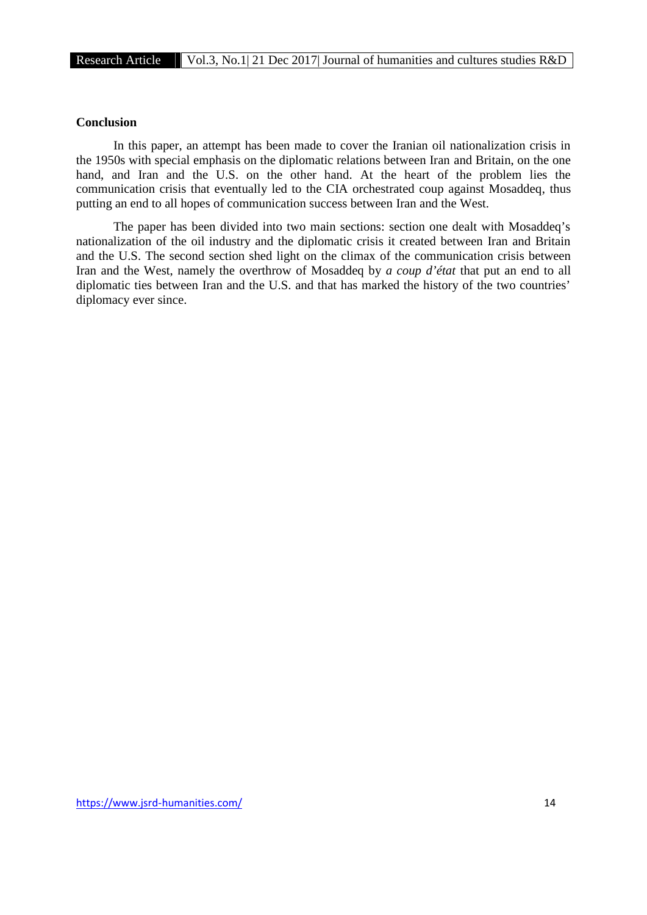# **Conclusion**

In this paper, an attempt has been made to cover the Iranian oil nationalization crisis in the 1950s with special emphasis on the diplomatic relations between Iran and Britain, on the one hand, and Iran and the U.S. on the other hand. At the heart of the problem lies the communication crisis that eventually led to the CIA orchestrated coup against Mosaddeq, thus putting an end to all hopes of communication success between Iran and the West.

The paper has been divided into two main sections: section one dealt with Mosaddeq's nationalization of the oil industry and the diplomatic crisis it created between Iran and Britain and the U.S. The second section shed light on the climax of the communication crisis between Iran and the West, namely the overthrow of Mosaddeq by *a coup d'état* that put an end to all diplomatic ties between Iran and the U.S. and that has marked the history of the two countries' diplomacy ever since.